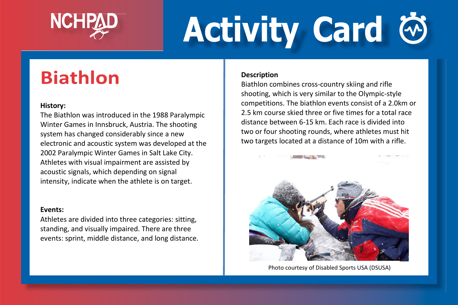

# **Activity Card**

## **Biathlon**

#### **History:**

The Biathlon was introduced in the 1988 Paralympic Winter Games in Innsbruck, Austria. The shooting system has changed considerably since a new electronic and acoustic system was developed at the 2002 Paralympic Winter Games in Salt Lake City. Athletes with visual impairment are assisted by acoustic signals, which depending on signal intensity, indicate when the athlete is on target.

#### **Events:**

Athletes are divided into three categories: sitting, standing, and visually impaired. There are three events: sprint, middle distance, and long distance.

#### **Description**

Biathlon combines cross-country skiing and rifle shooting, which is very similar to the Olympic-style competitions. The biathlon events consist of a 2.0km or 2.5 km course skied three or five times for a total race distance between 6-15 km. Each race is divided into two or four shooting rounds, where athletes must hit two targets located at a distance of 10m with a rifle.



Photo courtesy of Disabled Sports USA (DSUSA)